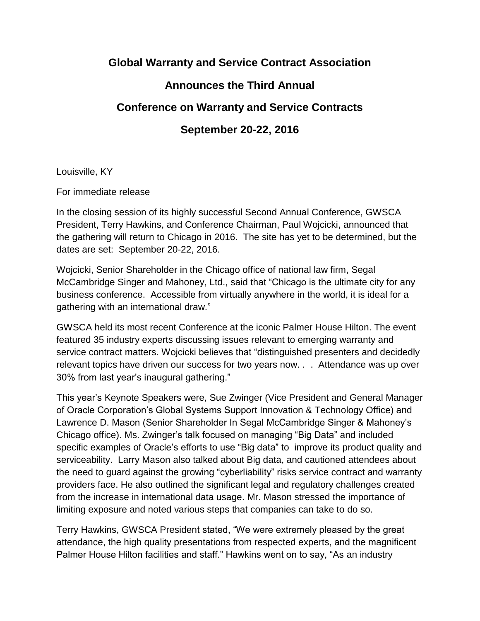## **Global Warranty and Service Contract Association**

## **Announces the Third Annual**

## **Conference on Warranty and Service Contracts**

## **September 20-22, 2016**

Louisville, KY

For immediate release

In the closing session of its highly successful Second Annual Conference, GWSCA President, Terry Hawkins, and Conference Chairman, Paul Wojcicki, announced that the gathering will return to Chicago in 2016. The site has yet to be determined, but the dates are set: September 20-22, 2016.

Wojcicki, Senior Shareholder in the Chicago office of national law firm, Segal McCambridge Singer and Mahoney, Ltd., said that "Chicago is the ultimate city for any business conference. Accessible from virtually anywhere in the world, it is ideal for a gathering with an international draw."

GWSCA held its most recent Conference at the iconic Palmer House Hilton. The event featured 35 industry experts discussing issues relevant to emerging warranty and service contract matters. Wojcicki believes that "distinguished presenters and decidedly relevant topics have driven our success for two years now. . . Attendance was up over 30% from last year's inaugural gathering."

This year's Keynote Speakers were, Sue Zwinger (Vice President and General Manager of Oracle Corporation's Global Systems Support Innovation & Technology Office) and Lawrence D. Mason (Senior Shareholder In Segal McCambridge Singer & Mahoney's Chicago office). Ms. Zwinger's talk focused on managing "Big Data" and included specific examples of Oracle's efforts to use "Big data" to improve its product quality and serviceability. Larry Mason also talked about Big data, and cautioned attendees about the need to guard against the growing "cyberliability" risks service contract and warranty providers face. He also outlined the significant legal and regulatory challenges created from the increase in international data usage. Mr. Mason stressed the importance of limiting exposure and noted various steps that companies can take to do so.

Terry Hawkins, GWSCA President stated, "We were extremely pleased by the great attendance, the high quality presentations from respected experts, and the magnificent Palmer House Hilton facilities and staff." Hawkins went on to say, "As an industry